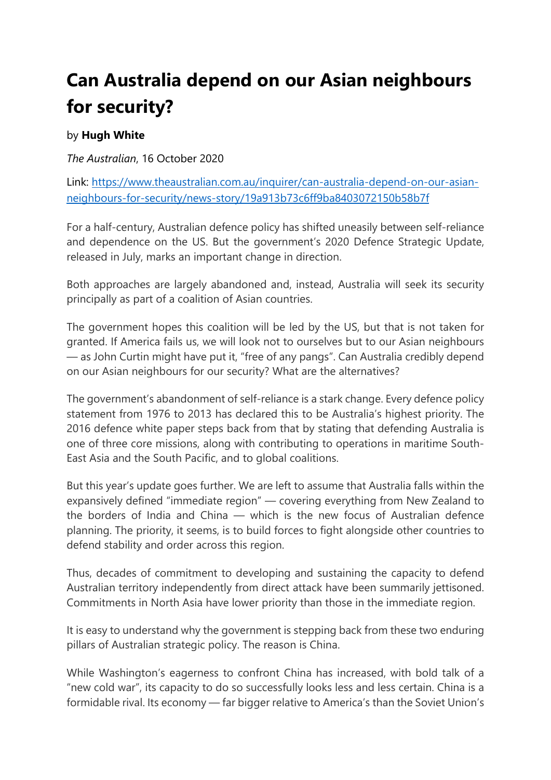## **Can Australia depend on our Asian neighbours for security?**

## by **Hugh White**

*The Australian*, 16 October 2020

Link: [https://www.theaustralian.com.au/inquirer/can-australia-depend-on-our-asian](https://www.theaustralian.com.au/inquirer/can-australia-depend-on-our-asian-neighbours-for-security/news-story/19a913b73c6ff9ba8403072150b58b7f)[neighbours-for-security/news-story/19a913b73c6ff9ba8403072150b58b7f](https://www.theaustralian.com.au/inquirer/can-australia-depend-on-our-asian-neighbours-for-security/news-story/19a913b73c6ff9ba8403072150b58b7f)

For a half-century, Australian defence policy has shifted uneasily between self-reliance and dependence on the US. But the government's 2020 Defence Strategic Update, released in July, marks an important change in direction.

Both approaches are largely abandoned and, instead, Australia will seek its security principally as part of a coalition of Asian countries.

The government hopes this coalition will be led by the US, but that is not taken for granted. If America fails us, we will look not to ourselves but to our Asian neighbours — as John Curtin might have put it, "free of any pangs". Can Australia credibly depend on our Asian neighbours for our security? What are the alternatives?

The government's abandonment of self-reliance is a stark change. Every defence policy statement from 1976 to 2013 has declared this to be Australia's highest priority. The 2016 defence white paper steps back from that by stating that defending Australia is one of three core missions, along with contributing to operations in maritime South-East Asia and the South Pacific, and to global coalitions.

But this year's update goes further. We are left to assume that Australia falls within the expansively defined "immediate region" — covering everything from New Zealand to the borders of India and China — which is the new focus of Australian defence planning. The priority, it seems, is to build forces to fight alongside other countries to defend stability and order across this region.

Thus, decades of commitment to developing and sustaining the capacity to defend Australian territory independently from direct attack have been summarily jettisoned. Commitments in North Asia have lower priority than those in the immediate region.

It is easy to understand why the government is stepping back from these two enduring pillars of Australian strategic policy. The reason is China.

While Washington's eagerness to confront China has increased, with bold talk of a "new cold war", its capacity to do so successfully looks less and less certain. China is a formidable rival. Its economy — far bigger relative to America's than the Soviet Union's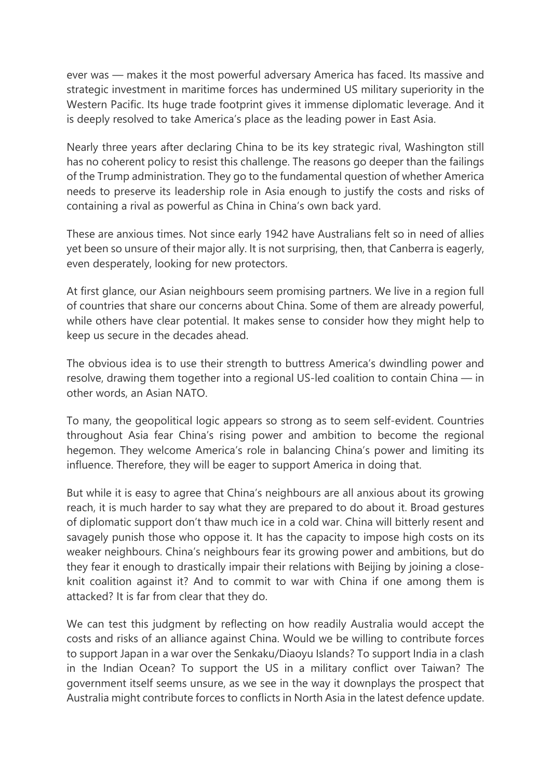ever was — makes it the most powerful adversary America has faced. Its massive and strategic investment in maritime forces has undermined US military superiority in the Western Pacific. Its huge trade footprint gives it immense diplomatic leverage. And it is deeply resolved to take America's place as the leading power in East Asia.

Nearly three years after declaring China to be its key strategic rival, Washington still has no coherent policy to resist this challenge. The reasons go deeper than the failings of the Trump administration. They go to the fundamental question of whether America needs to preserve its leadership role in Asia enough to justify the costs and risks of containing a rival as powerful as China in China's own back yard.

These are anxious times. Not since early 1942 have Australians felt so in need of allies yet been so unsure of their major ally. It is not surprising, then, that Canberra is eagerly, even desperately, looking for new protectors.

At first glance, our Asian neighbours seem promising partners. We live in a region full of countries that share our concerns about China. Some of them are already powerful, while others have clear potential. It makes sense to consider how they might help to keep us secure in the decades ahead.

The obvious idea is to use their strength to buttress America's dwindling power and resolve, drawing them together into a regional US-led coalition to contain China — in other words, an Asian NATO.

To many, the geopolitical logic appears so strong as to seem self-evident. Countries throughout Asia fear China's rising power and ambition to become the regional hegemon. They welcome America's role in balancing China's power and limiting its influence. Therefore, they will be eager to support America in doing that.

But while it is easy to agree that China's neighbours are all anxious about its growing reach, it is much harder to say what they are prepared to do about it. Broad gestures of diplomatic support don't thaw much ice in a cold war. China will bitterly resent and savagely punish those who oppose it. It has the capacity to impose high costs on its weaker neighbours. China's neighbours fear its growing power and ambitions, but do they fear it enough to drastically impair their relations with Beijing by joining a closeknit coalition against it? And to commit to war with China if one among them is attacked? It is far from clear that they do.

We can test this judgment by reflecting on how readily Australia would accept the costs and risks of an alliance against China. Would we be willing to contribute forces to support Japan in a war over the Senkaku/Diaoyu Islands? To support India in a clash in the Indian Ocean? To support the US in a military conflict over Taiwan? The government itself seems unsure, as we see in the way it downplays the prospect that Australia might contribute forces to conflicts in North Asia in the latest defence update.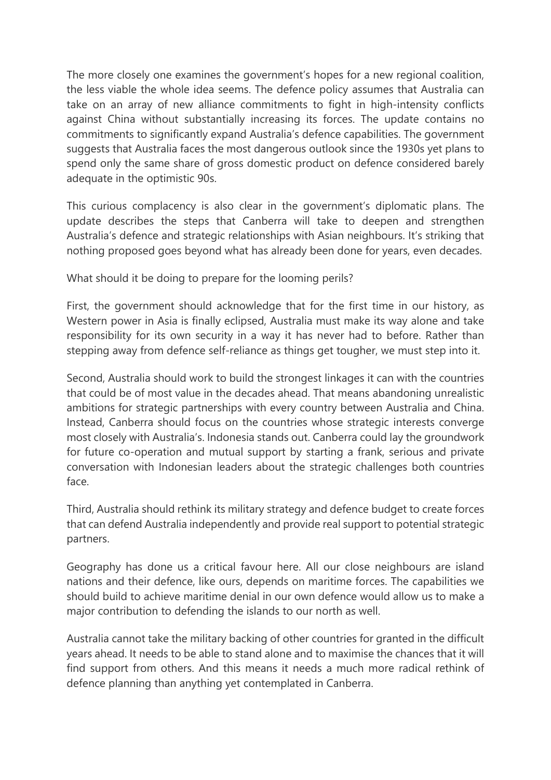The more closely one examines the government's hopes for a new regional coalition, the less viable the whole idea seems. The defence policy assumes that Australia can take on an array of new alliance commitments to fight in high-intensity conflicts against China without substantially increasing its forces. The update contains no commitments to significantly expand Australia's defence capabilities. The government suggests that Australia faces the most dangerous outlook since the 1930s yet plans to spend only the same share of gross domestic product on defence considered barely adequate in the optimistic 90s.

This curious complacency is also clear in the government's diplomatic plans. The update describes the steps that Canberra will take to deepen and strengthen Australia's defence and strategic relationships with Asian neighbours. It's striking that nothing proposed goes beyond what has already been done for years, even decades.

What should it be doing to prepare for the looming perils?

First, the government should acknowledge that for the first time in our history, as Western power in Asia is finally eclipsed, Australia must make its way alone and take responsibility for its own security in a way it has never had to before. Rather than stepping away from defence self-reliance as things get tougher, we must step into it.

Second, Australia should work to build the strongest linkages it can with the countries that could be of most value in the decades ahead. That means abandoning unrealistic ambitions for strategic partnerships with every country between Australia and China. Instead, Canberra should focus on the countries whose strategic interests converge most closely with Australia's. Indonesia stands out. Canberra could lay the groundwork for future co-operation and mutual support by starting a frank, serious and private conversation with Indonesian leaders about the strategic challenges both countries face.

Third, Australia should rethink its military strategy and defence budget to create forces that can defend Australia independently and provide real support to potential strategic partners.

Geography has done us a critical favour here. All our close neighbours are island nations and their defence, like ours, depends on maritime forces. The capabilities we should build to achieve maritime denial in our own defence would allow us to make a major contribution to defending the islands to our north as well.

Australia cannot take the military backing of other countries for granted in the difficult years ahead. It needs to be able to stand alone and to maximise the chances that it will find support from others. And this means it needs a much more radical rethink of defence planning than anything yet contemplated in Canberra.